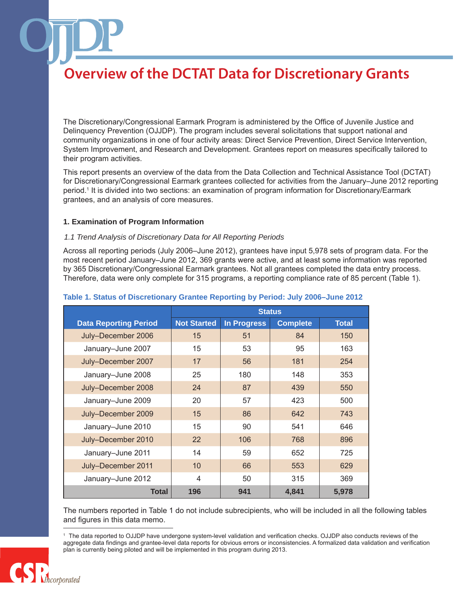The Discretionary/Congressional Earmark Program is administered by the Office of Juvenile Justice and Delinquency Prevention (OJJDP). The program includes several solicitations that support national and community organizations in one of four activity areas: Direct Service Prevention, Direct Service Intervention, System Improvement, and Research and Development. Grantees report on measures specifically tailored to their program activities.

This report presents an overview of the data from the Data Collection and Technical Assistance Tool (DCTAT) for Discretionary/Congressional Earmark grantees collected for activities from the January–June 2012 reporting period.1 It is divided into two sections: an examination of program information for Discretionary/Earmark grantees, and an analysis of core measures.

#### **1. Examination of Program Information**

#### *1.1 Trend Analysis of Discretionary Data for All Reporting Periods*

Across all reporting periods (July 2006–June 2012), grantees have input 5,978 sets of program data. For the most recent period January–June 2012, 369 grants were active, and at least some information was reported by 365 Discretionary/Congressional Earmark grantees. Not all grantees completed the data entry process. Therefore, data were only complete for 315 programs, a reporting compliance rate of 85 percent (Table 1).

|                              | <b>Status</b>      |                    |                 |              |
|------------------------------|--------------------|--------------------|-----------------|--------------|
| <b>Data Reporting Period</b> | <b>Not Started</b> | <b>In Progress</b> | <b>Complete</b> | <b>Total</b> |
| July-December 2006           | 15                 | 51                 | 84              | 150          |
| January-June 2007            | 15                 | 53                 | 95              | 163          |
| July-December 2007           | 17                 | 56                 | 181             | 254          |
| January-June 2008            | 25                 | 180                | 148             | 353          |
| July-December 2008           | 24                 | 87                 | 439             | 550          |
| January-June 2009            | 20                 | 57                 | 423             | 500          |
| July-December 2009           | 15                 | 86                 | 642             | 743          |
| January-June 2010            | 15                 | 90                 | 541             | 646          |
| July-December 2010           | 22                 | 106                | 768             | 896          |
| January-June 2011            | 14                 | 59                 | 652             | 725          |
| July-December 2011           | 10                 | 66                 | 553             | 629          |
| January-June 2012            | 4                  | 50                 | 315             | 369          |
| <b>Total</b>                 | 196                | 941                | 4,841           | 5,978        |

#### **Table 1. Status of Discretionary Grantee Reporting by Period: July 2006–June 2012**

The numbers reported in Table 1 do not include subrecipients, who will be included in all the following tables and figures in this data memo.

<sup>1</sup> The data reported to OJJDP have undergone system-level validation and verification checks. OJJDP also conducts reviews of the aggregate data findings and grantee-level data reports for obvious errors or inconsistencies. A formalized data validation and verification plan is currently being piloted and will be implemented in this program during 2013.

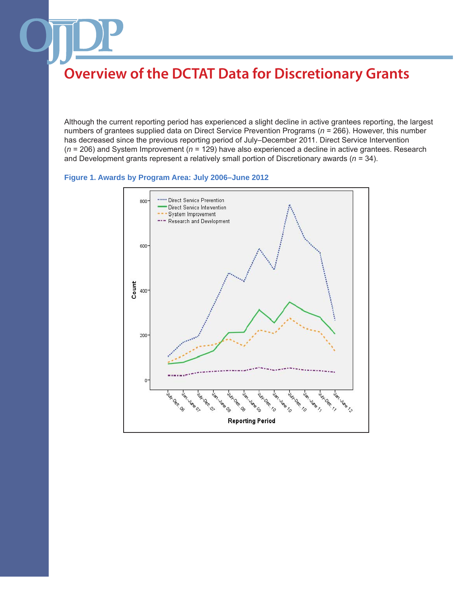Although the current reporting period has experienced a slight decline in active grantees reporting, the largest numbers of grantees supplied data on Direct Service Prevention Programs (*n* = 266). However, this number has decreased since the previous reporting period of July–December 2011. Direct Service Intervention (*n* = 206) and System Improvement (*n* = 129) have also experienced a decline in active grantees. Research and Development grants represent a relatively small portion of Discretionary awards (*n* = 34).

### **Figure 1. Awards by Program Area: July 2006–June 2012**

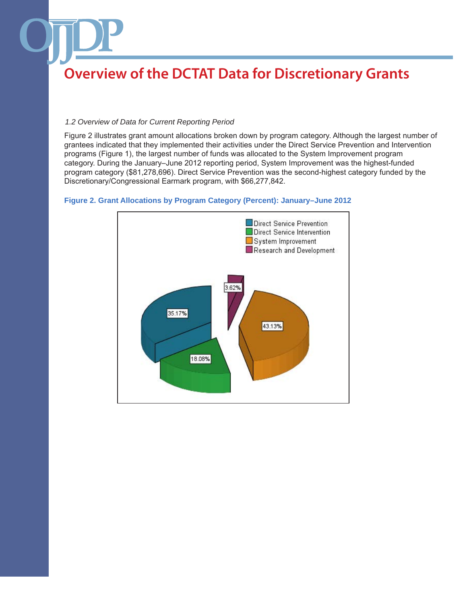### *1.2 Overview of Data for Current Reporting Period*

Figure 2 illustrates grant amount allocations broken down by program category. Although the largest number of grantees indicated that they implemented their activities under the Direct Service Prevention and Intervention programs (Figure 1), the largest number of funds was allocated to the System Improvement program category. During the January–June 2012 reporting period, System Improvement was the highest-funded program category (\$81,278,696). Direct Service Prevention was the second-highest category funded by the Discretionary/Congressional Earmark program, with \$66,277,842.



### **Figure 2. Grant Allocations by Program Category (Percent): January–June 2012**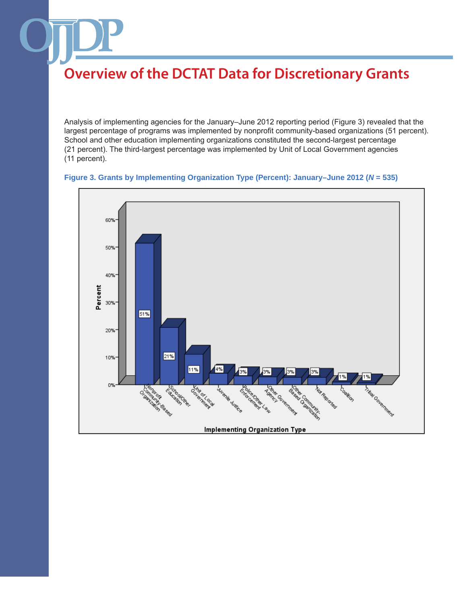Analysis of implementing agencies for the January–June 2012 reporting period (Figure 3) revealed that the largest percentage of programs was implemented by nonprofit community-based organizations (51 percent). School and other education implementing organizations constituted the second-largest percentage (21 percent). The third-largest percentage was implemented by Unit of Local Government agencies (11 percent).



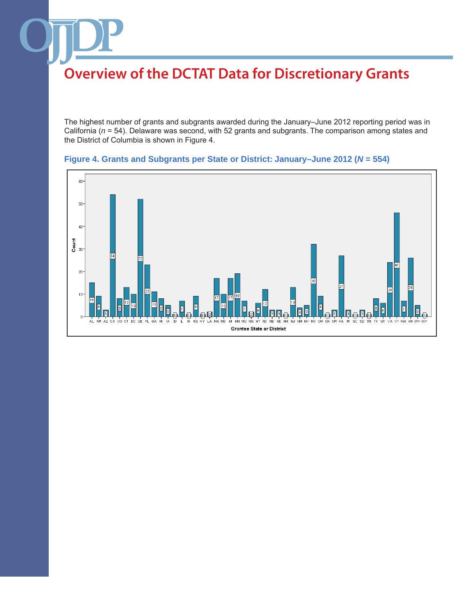The highest number of grants and subgrants awarded during the January–June 2012 reporting period was in California (*n* = 54). Delaware was second, with 52 grants and subgrants. The comparison among states and the District of Columbia is shown in Figure 4.



## **Figure 4. Grants and Subgrants per State or District: January–June 2012 (***N* **= 554)**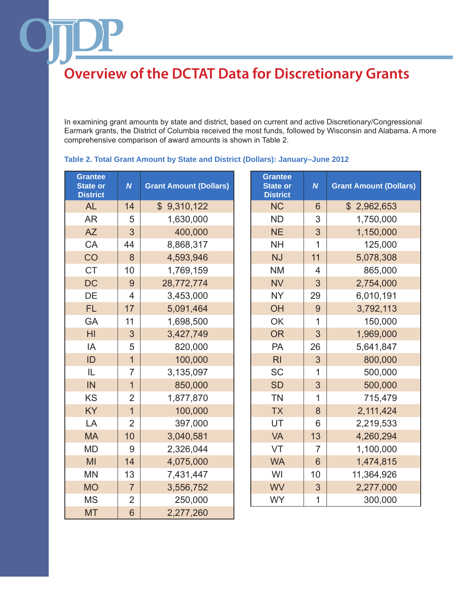In examining grant amounts by state and district, based on current and active Discretionary/Congressional Earmark grants, the District of Columbia received the most funds, followed by Wisconsin and Alabama. A more comprehensive comparison of award amounts is shown in Table 2.

| <b>Grantee</b><br><b>State or</b><br><b>District</b> | $\boldsymbol{N}$ | <b>Grant Amount (Dollars)</b> | <b>Grantee</b><br><b>State or</b><br><b>District</b> | $\boldsymbol{N}$ | <b>Grant Amount (Do</b> |
|------------------------------------------------------|------------------|-------------------------------|------------------------------------------------------|------------------|-------------------------|
| <b>AL</b>                                            | 14               | \$9,310,122                   | <b>NC</b>                                            | $6\phantom{1}$   | \$2,962,653             |
| <b>AR</b>                                            | 5                | 1,630,000                     | <b>ND</b>                                            | 3                | 1,750,000               |
| AZ                                                   | 3                | 400,000                       | <b>NE</b>                                            | 3                | 1,150,000               |
| CA                                                   | 44               | 8,868,317                     | <b>NH</b>                                            | 1                | 125,000                 |
| CO                                                   | 8                | 4,593,946                     | <b>NJ</b>                                            | 11               | 5,078,308               |
| <b>CT</b>                                            | 10               | 1,769,159                     | <b>NM</b>                                            | $\overline{4}$   | 865,000                 |
| <b>DC</b>                                            | 9                | 28,772,774                    | <b>NV</b>                                            | 3                | 2,754,000               |
| DE                                                   | $\overline{4}$   | 3,453,000                     | <b>NY</b>                                            | 29               | 6,010,191               |
| <b>FL</b>                                            | 17               | 5,091,464                     | OH                                                   | 9                | 3,792,113               |
| <b>GA</b>                                            | 11               | 1,698,500                     | OK                                                   | 1                | 150,000                 |
| H <sub>l</sub>                                       | 3                | 3,427,749                     | <b>OR</b>                                            | 3                | 1,969,000               |
| IA                                                   | 5                | 820,000                       | PA                                                   | 26               | 5,641,847               |
| ID                                                   | $\overline{1}$   | 100,000                       | R <sub>l</sub>                                       | 3                | 800,000                 |
| IL                                                   | $\overline{7}$   | 3,135,097                     | <b>SC</b>                                            | 1                | 500,000                 |
| IN                                                   | $\overline{1}$   | 850,000                       | <b>SD</b>                                            | 3                | 500,000                 |
| <b>KS</b>                                            | $\overline{2}$   | 1,877,870                     | <b>TN</b>                                            | $\mathbf{1}$     | 715,479                 |
| <b>KY</b>                                            | $\mathbf{1}$     | 100,000                       | <b>TX</b>                                            | 8                | 2,111,424               |
| LA                                                   | $\overline{2}$   | 397,000                       | UT                                                   | 6                | 2,219,533               |
| <b>MA</b>                                            | 10               | 3,040,581                     | <b>VA</b>                                            | 13               | 4,260,294               |
| <b>MD</b>                                            | 9                | 2,326,044                     | VT                                                   | $\overline{7}$   | 1,100,000               |
| MI                                                   | 14               | 4,075,000                     | <b>WA</b>                                            | $6\phantom{1}$   | 1,474,815               |
| <b>MN</b>                                            | 13               | 7,431,447                     | WI                                                   | 10               | 11,364,926              |
| <b>MO</b>                                            | $\overline{7}$   | 3,556,752                     | <b>WV</b>                                            | 3                | 2,277,000               |
| <b>MS</b>                                            | $\overline{2}$   | 250,000                       | <b>WY</b>                                            | 1                | 300,000                 |
| <b>MT</b>                                            | $6\phantom{1}$   | 2,277,260                     |                                                      |                  |                         |

### **Table 2. Total Grant Amount by State and District (Dollars): January–June 2012**

| rantee<br>ate or<br><b>istrict</b> | $\boldsymbol{N}$ | <b>Grant Amount (Dollars)</b> | <b>Grantee</b><br><b>State or</b><br><b>District</b> | $\boldsymbol{N}$ | <b>Grant Amount (Dollars)</b> |
|------------------------------------|------------------|-------------------------------|------------------------------------------------------|------------------|-------------------------------|
| <b>AL</b>                          | 14               | \$9,310,122                   | <b>NC</b>                                            | $6\phantom{1}6$  | \$2,962,653                   |
| <b>AR</b>                          | 5                | 1,630,000                     | <b>ND</b>                                            | 3                | 1,750,000                     |
| <b>AZ</b>                          | 3                | 400,000                       | <b>NE</b>                                            | 3                | 1,150,000                     |
| CA                                 | 44               | 8,868,317                     | <b>NH</b>                                            | 1                | 125,000                       |
| CO                                 | 8                | 4,593,946                     | <b>NJ</b>                                            | 11               | 5,078,308                     |
| <b>CT</b>                          | 10               | 1,769,159                     | <b>NM</b>                                            | $\overline{4}$   | 865,000                       |
| <b>DC</b>                          | 9                | 28,772,774                    | <b>NV</b>                                            | 3                | 2,754,000                     |
| DE                                 | $\overline{4}$   | 3,453,000                     | <b>NY</b>                                            | 29               | 6,010,191                     |
| <b>FL</b>                          | 17               | 5,091,464                     | OH                                                   | 9                | 3,792,113                     |
| GA                                 | 11               | 1,698,500                     | OK                                                   | 1                | 150,000                       |
| H <sub>l</sub>                     | 3                | 3,427,749                     | <b>OR</b>                                            | 3                | 1,969,000                     |
| IA                                 | 5                | 820,000                       | PA                                                   | 26               | 5,641,847                     |
| ID                                 | $\overline{1}$   | 100,000                       | R <sub>l</sub>                                       | 3                | 800,000                       |
| IL                                 | $\overline{7}$   | 3,135,097                     | <b>SC</b>                                            | 1                | 500,000                       |
| IN                                 | $\overline{1}$   | 850,000                       | <b>SD</b>                                            | 3                | 500,000                       |
| <b>KS</b>                          | $\overline{2}$   | 1,877,870                     | <b>TN</b>                                            | $\mathbf{1}$     | 715,479                       |
| <b>KY</b>                          | $\overline{1}$   | 100,000                       | <b>TX</b>                                            | 8                | 2,111,424                     |
| LA                                 | $\overline{2}$   | 397,000                       | UT                                                   | 6                | 2,219,533                     |
| <b>MA</b>                          | 10               | 3,040,581                     | <b>VA</b>                                            | 13               | 4,260,294                     |
| <b>MD</b>                          | 9                | 2,326,044                     | VT                                                   | $\overline{7}$   | 1,100,000                     |
| MI                                 | 14               | 4,075,000                     | <b>WA</b>                                            | 6                | 1,474,815                     |
| MN                                 | 13               | 7,431,447                     | WI                                                   | 10               | 11,364,926                    |
| <b>MO</b>                          | $\overline{7}$   | 3,556,752                     | <b>WV</b>                                            | 3                | 2,277,000                     |
| <b>MS</b>                          | $\overline{2}$   | 250,000                       | <b>WY</b>                                            | $\mathbf{1}$     | 300,000                       |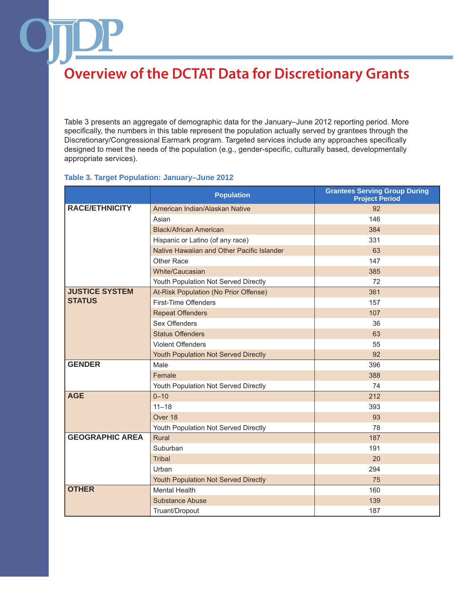Table 3 presents an aggregate of demographic data for the January–June 2012 reporting period. More specifically, the numbers in this table represent the population actually served by grantees through the Discretionary/Congressional Earmark program. Targeted services include any approaches specifically designed to meet the needs of the population (e.g., gender-specific, culturally based, developmentally appropriate services).

## **Table 3. Target Population: January–June 2012**

|                        | <b>Population</b>                          | <b>Grantees Serving Group During</b><br><b>Project Period</b> |
|------------------------|--------------------------------------------|---------------------------------------------------------------|
| <b>RACE/ETHNICITY</b>  | American Indian/Alaskan Native             | 92                                                            |
|                        | Asian                                      | 146                                                           |
|                        | <b>Black/African American</b>              | 384                                                           |
|                        | Hispanic or Latino (of any race)           | 331                                                           |
|                        | Native Hawaiian and Other Pacific Islander | 63                                                            |
|                        | Other Race                                 | 147                                                           |
|                        | White/Caucasian                            | 385                                                           |
|                        | Youth Population Not Served Directly       | 72                                                            |
| <b>JUSTICE SYSTEM</b>  | At-Risk Population (No Prior Offense)      | 361                                                           |
| <b>STATUS</b>          | First-Time Offenders                       | 157                                                           |
|                        | <b>Repeat Offenders</b>                    | 107                                                           |
|                        | Sex Offenders                              | 36                                                            |
|                        | <b>Status Offenders</b>                    | 63                                                            |
|                        | <b>Violent Offenders</b>                   | 55                                                            |
|                        | Youth Population Not Served Directly       | 92                                                            |
| <b>GENDER</b>          | Male                                       | 396                                                           |
|                        | Female                                     | 388                                                           |
|                        | Youth Population Not Served Directly       | 74                                                            |
| <b>AGE</b>             | $0 - 10$                                   | 212                                                           |
|                        | $11 - 18$                                  | 393                                                           |
|                        | Over 18                                    | 93                                                            |
|                        | Youth Population Not Served Directly       | 78                                                            |
| <b>GEOGRAPHIC AREA</b> | Rural                                      | 187                                                           |
|                        | Suburban                                   | 191                                                           |
|                        | <b>Tribal</b>                              | 20                                                            |
|                        | Urban                                      | 294                                                           |
|                        | Youth Population Not Served Directly       | 75                                                            |
| <b>OTHER</b>           | <b>Mental Health</b>                       | 160                                                           |
|                        | <b>Substance Abuse</b>                     | 139                                                           |
|                        | Truant/Dropout                             | 187                                                           |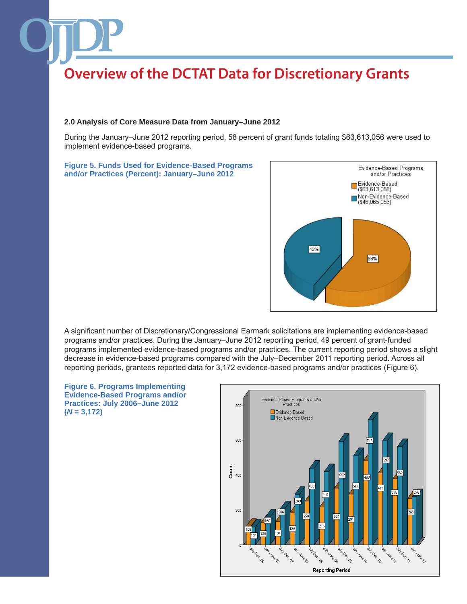#### **2.0 Analysis of Core Measure Data from January–June 2012**

During the January–June 2012 reporting period, 58 percent of grant funds totaling \$63,613,056 were used to implement evidence-based programs.

#### **Figure 5. Funds Used for Evidence-Based Programs and/or Practices (Percent): January–June 2012**



A significant number of Discretionary/Congressional Earmark solicitations are implementing evidence-based programs and/or practices. During the January–June 2012 reporting period, 49 percent of grant-funded programs implemented evidence-based programs and/or practices. The current reporting period shows a slight decrease in evidence-based programs compared with the July–December 2011 reporting period. Across all reporting periods, grantees reported data for 3,172 evidence-based programs and/or practices (Figure 6).



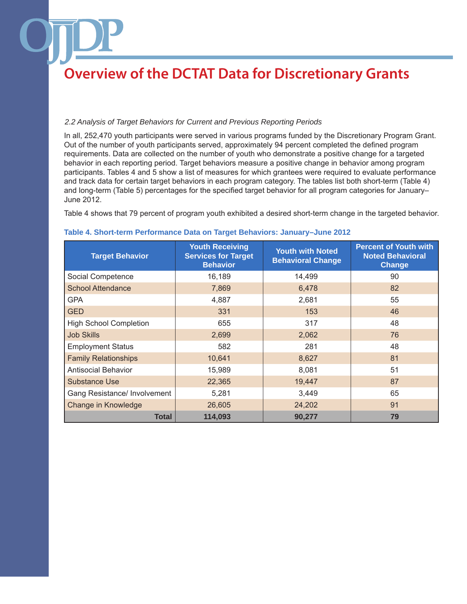### *2.2 Analysis of Target Behaviors for Current and Previous Reporting Periods*

In all, 252,470 youth participants were served in various programs funded by the Discretionary Program Grant. Out of the number of youth participants served, approximately 94 percent completed the defined program requirements. Data are collected on the number of youth who demonstrate a positive change for a targeted behavior in each reporting period. Target behaviors measure a positive change in behavior among program participants. Tables 4 and 5 show a list of measures for which grantees were required to evaluate performance and track data for certain target behaviors in each program category. The tables list both short-term (Table 4) and long-term (Table 5) percentages for the specified target behavior for all program categories for January– June 2012.

Table 4 shows that 79 percent of program youth exhibited a desired short-term change in the targeted behavior.

| <b>Target Behavior</b>        | <b>Youth Receiving</b><br><b>Services for Target</b><br><b>Behavior</b> | <b>Youth with Noted</b><br><b>Behavioral Change</b> | <b>Percent of Youth with</b><br><b>Noted Behavioral</b><br>Change |
|-------------------------------|-------------------------------------------------------------------------|-----------------------------------------------------|-------------------------------------------------------------------|
| Social Competence             | 16,189                                                                  | 14,499                                              | 90                                                                |
| <b>School Attendance</b>      | 7,869                                                                   | 6,478                                               | 82                                                                |
| <b>GPA</b>                    | 4,887                                                                   | 2,681                                               | 55                                                                |
| <b>GED</b>                    | 331                                                                     | 153                                                 | 46                                                                |
| <b>High School Completion</b> | 655                                                                     | 317                                                 | 48                                                                |
| <b>Job Skills</b>             | 2,699                                                                   | 2,062                                               | 76                                                                |
| <b>Employment Status</b>      | 582                                                                     | 281                                                 | 48                                                                |
| <b>Family Relationships</b>   | 10,641                                                                  | 8,627                                               | 81                                                                |
| <b>Antisocial Behavior</b>    | 15,989                                                                  | 8,081                                               | 51                                                                |
| <b>Substance Use</b>          | 22,365                                                                  | 19,447                                              | 87                                                                |
| Gang Resistance/ Involvement  | 5,281                                                                   | 3,449                                               | 65                                                                |
| Change in Knowledge           | 26,605                                                                  | 24,202                                              | 91                                                                |
| Total                         | 114,093                                                                 | 90,277                                              | 79                                                                |

#### **Table 4. Short-term Performance Data on Target Behaviors: January–June 2012**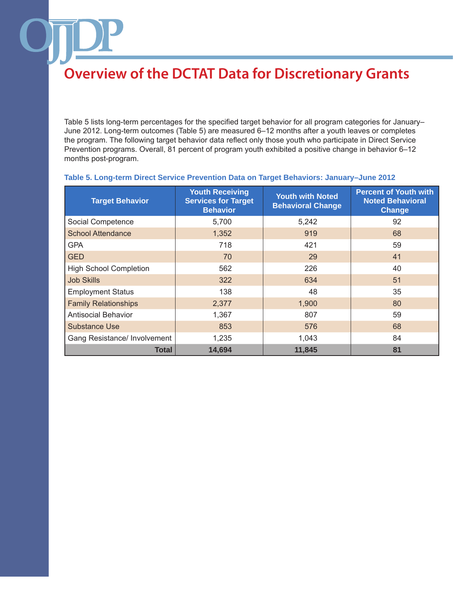Table 5 lists long-term percentages for the specified target behavior for all program categories for January– June 2012. Long-term outcomes (Table 5) are measured 6–12 months after a youth leaves or completes the program. The following target behavior data reflect only those youth who participate in Direct Service Prevention programs. Overall, 81 percent of program youth exhibited a positive change in behavior 6–12 months post-program.

| <b>Target Behavior</b>        | <b>Youth Receiving</b><br><b>Services for Target</b><br><b>Behavior</b> | <b>Youth with Noted</b><br><b>Behavioral Change</b> | <b>Percent of Youth with</b><br><b>Noted Behavioral</b><br>Change |
|-------------------------------|-------------------------------------------------------------------------|-----------------------------------------------------|-------------------------------------------------------------------|
| Social Competence             | 5,700                                                                   | 5,242                                               | 92                                                                |
| <b>School Attendance</b>      | 1,352                                                                   | 919                                                 | 68                                                                |
| <b>GPA</b>                    | 718                                                                     | 421                                                 | 59                                                                |
| <b>GED</b>                    | 70                                                                      | 29                                                  | 41                                                                |
| <b>High School Completion</b> | 562                                                                     | 226                                                 | 40                                                                |
| <b>Job Skills</b>             | 322                                                                     | 634                                                 | 51                                                                |
| <b>Employment Status</b>      | 138                                                                     | 48                                                  | 35                                                                |
| <b>Family Relationships</b>   | 2,377                                                                   | 1,900                                               | 80                                                                |
| <b>Antisocial Behavior</b>    | 1,367                                                                   | 807                                                 | 59                                                                |
| <b>Substance Use</b>          | 853                                                                     | 576                                                 | 68                                                                |
| Gang Resistance/ Involvement  | 1,235                                                                   | 1,043                                               | 84                                                                |
| <b>Total</b>                  | 14,694                                                                  | 11,845                                              | 81                                                                |

### **Table 5. Long-term Direct Service Prevention Data on Target Behaviors: January–June 2012**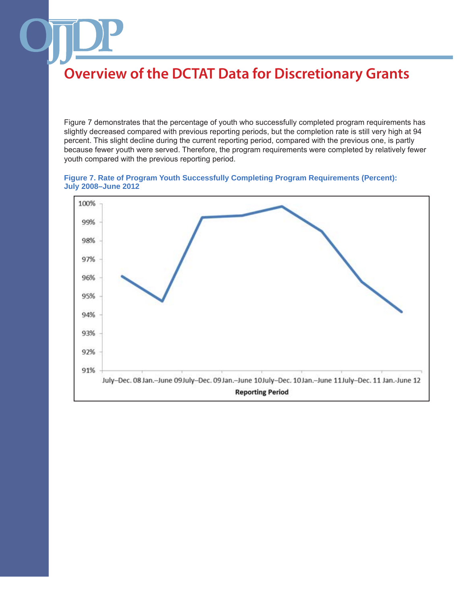Figure 7 demonstrates that the percentage of youth who successfully completed program requirements has slightly decreased compared with previous reporting periods, but the completion rate is still very high at 94 percent. This slight decline during the current reporting period, compared with the previous one, is partly because fewer youth were served. Therefore, the program requirements were completed by relatively fewer youth compared with the previous reporting period.

#### **Figure 7. Rate of Program Youth Successfully Completing Program Requirements (Percent): July 2008–June 2012**

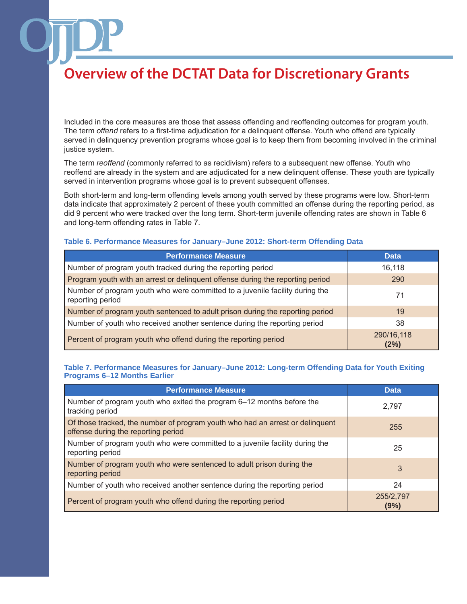Included in the core measures are those that assess offending and reoffending outcomes for program youth. The term *offend* refers to a first-time adjudication for a delinquent offense. Youth who offend are typically served in delinquency prevention programs whose goal is to keep them from becoming involved in the criminal justice system.

The term *reoffend* (commonly referred to as recidivism) refers to a subsequent new offense. Youth who reoffend are already in the system and are adjudicated for a new delinquent offense. These youth are typically served in intervention programs whose goal is to prevent subsequent offenses.

Both short-term and long-term offending levels among youth served by these programs were low. Short-term data indicate that approximately 2 percent of these youth committed an offense during the reporting period, as did 9 percent who were tracked over the long term. Short-term juvenile offending rates are shown in Table 6 and long-term offending rates in Table 7.

#### **Table 6. Performance Measures for January–June 2012: Short-term Offending Data**

| <b>Performance Measure</b>                                                                       | <b>Data</b>        |
|--------------------------------------------------------------------------------------------------|--------------------|
| Number of program youth tracked during the reporting period                                      | 16,118             |
| Program youth with an arrest or delinquent offense during the reporting period                   | 290                |
| Number of program youth who were committed to a juvenile facility during the<br>reporting period | 71                 |
| Number of program youth sentenced to adult prison during the reporting period                    | 19                 |
| Number of youth who received another sentence during the reporting period                        | 38                 |
| Percent of program youth who offend during the reporting period                                  | 290/16,118<br>(2%) |

### **Table 7. Performance Measures for January–June 2012: Long-term Offending Data for Youth Exiting Programs 6–12 Months Earlier**

| <b>Performance Measure</b>                                                                                           | <b>Data</b>       |
|----------------------------------------------------------------------------------------------------------------------|-------------------|
| Number of program youth who exited the program 6–12 months before the<br>tracking period                             | 2,797             |
| Of those tracked, the number of program youth who had an arrest or delinguent<br>offense during the reporting period | 255               |
| Number of program youth who were committed to a juvenile facility during the<br>reporting period                     | 25                |
| Number of program youth who were sentenced to adult prison during the<br>reporting period                            | 3                 |
| Number of youth who received another sentence during the reporting period                                            | 24                |
| Percent of program youth who offend during the reporting period                                                      | 255/2,797<br>(9%) |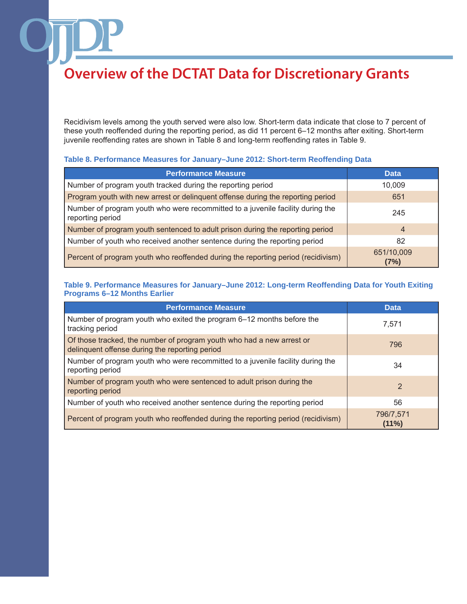Recidivism levels among the youth served were also low. Short-term data indicate that close to 7 percent of these youth reoffended during the reporting period, as did 11 percent 6–12 months after exiting. Short-term juvenile reoffending rates are shown in Table 8 and long-term reoffending rates in Table 9.

### **Table 8. Performance Measures for January–June 2012: Short-term Reoffending Data**

| <b>Performance Measure</b>                                                                         | <b>Data</b>        |
|----------------------------------------------------------------------------------------------------|--------------------|
| Number of program youth tracked during the reporting period                                        | 10,009             |
| Program youth with new arrest or delinquent offense during the reporting period                    | 651                |
| Number of program youth who were recommitted to a juvenile facility during the<br>reporting period | 245                |
| Number of program youth sentenced to adult prison during the reporting period                      | 4                  |
| Number of youth who received another sentence during the reporting period                          | 82                 |
| Percent of program youth who reoffended during the reporting period (recidivism)                   | 651/10,009<br>(7%) |

### **Table 9. Performance Measures for January–June 2012: Long-term Reoffending Data for Youth Exiting Programs 6–12 Months Earlier**

| <b>Performance Measure</b>                                                                                              | <b>Data</b>        |
|-------------------------------------------------------------------------------------------------------------------------|--------------------|
| Number of program youth who exited the program 6–12 months before the<br>tracking period                                | 7.571              |
| Of those tracked, the number of program youth who had a new arrest or<br>delinquent offense during the reporting period | 796                |
| Number of program youth who were recommitted to a juvenile facility during the<br>reporting period                      | 34                 |
| Number of program youth who were sentenced to adult prison during the<br>reporting period                               | $\overline{2}$     |
| Number of youth who received another sentence during the reporting period                                               | 56                 |
| Percent of program youth who reoffended during the reporting period (recidivism)                                        | 796/7,571<br>(11%) |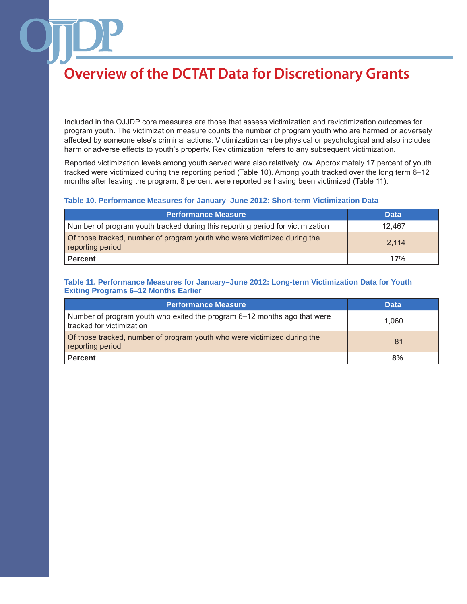Included in the OJJDP core measures are those that assess victimization and revictimization outcomes for program youth. The victimization measure counts the number of program youth who are harmed or adversely affected by someone else's criminal actions. Victimization can be physical or psychological and also includes harm or adverse effects to youth's property. Revictimization refers to any subsequent victimization.

Reported victimization levels among youth served were also relatively low. Approximately 17 percent of youth tracked were victimized during the reporting period (Table 10). Among youth tracked over the long term 6–12 months after leaving the program, 8 percent were reported as having been victimized (Table 11).

#### **Table 10. Performance Measures for January–June 2012: Short-term Victimization Data**

| <b>Performance Measure</b>                                                                   | <b>Data</b> |
|----------------------------------------------------------------------------------------------|-------------|
| Number of program youth tracked during this reporting period for victimization               | 12.467      |
| Of those tracked, number of program youth who were victimized during the<br>reporting period | 2.114       |
| Percent                                                                                      | 17%         |

### **Table 11. Performance Measures for January–June 2012: Long-term Victimization Data for Youth Exiting Programs 6–12 Months Earlier**

| <b>Performance Measure</b>                                                                            | <b>Data</b> |
|-------------------------------------------------------------------------------------------------------|-------------|
| Number of program youth who exited the program 6–12 months ago that were<br>tracked for victimization | 1.060       |
| of those tracked, number of program youth who were victimized during the<br>reporting period          | 81          |
| <b>Percent</b>                                                                                        | 8%          |